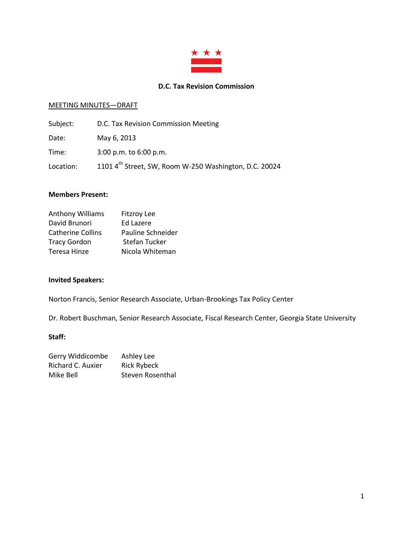

#### **D.C. Tax Revision Commission**

#### MEETING MINUTES—DRAFT

| Subject:  | D.C. Tax Revision Commission Meeting                   |
|-----------|--------------------------------------------------------|
| Date:     | May 6, 2013                                            |
| Time:     | $3:00$ p.m. to $6:00$ p.m.                             |
| Location: | 1101 4th Street, SW, Room W-250 Washington, D.C. 20024 |

### **Members Present:**

| Anthony Williams         | <b>Fitzroy Lee</b>   |
|--------------------------|----------------------|
| David Brunori            | Ed Lazere            |
| <b>Catherine Collins</b> | Pauline Schneider    |
| <b>Tracy Gordon</b>      | <b>Stefan Tucker</b> |
| Teresa Hinze             | Nicola Whiteman      |

## **Invited Speakers:**

Norton Francis, Senior Research Associate, Urban-Brookings Tax Policy Center

Dr. Robert Buschman, Senior Research Associate, Fiscal Research Center, Georgia State University

#### **Staff:**

| Gerry Widdicombe  | Ashley Lee         |
|-------------------|--------------------|
| Richard C. Auxier | <b>Rick Rybeck</b> |
| Mike Bell         | Steven Rosenthal   |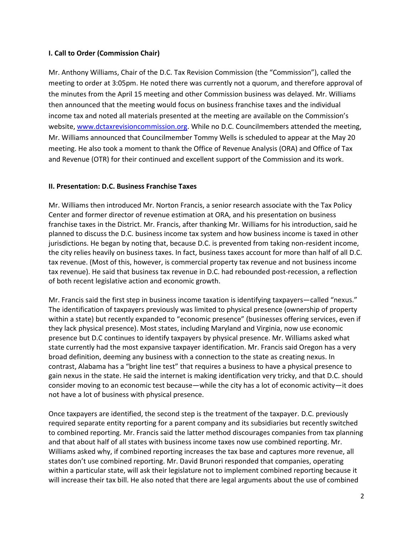### **I. Call to Order (Commission Chair)**

Mr. Anthony Williams, Chair of the D.C. Tax Revision Commission (the "Commission"), called the meeting to order at 3:05pm. He noted there was currently not a quorum, and therefore approval of the minutes from the April 15 meeting and other Commission business was delayed. Mr. Williams then announced that the meeting would focus on business franchise taxes and the individual income tax and noted all materials presented at the meeting are available on the Commission's website, [www.dctaxrevisioncommission.org.](http://www.dctaxrevisioncommission.org/) While no D.C. Councilmembers attended the meeting, Mr. Williams announced that Councilmember Tommy Wells is scheduled to appear at the May 20 meeting. He also took a moment to thank the Office of Revenue Analysis (ORA) and Office of Tax and Revenue (OTR) for their continued and excellent support of the Commission and its work.

### **II. Presentation: D.C. Business Franchise Taxes**

Mr. Williams then introduced Mr. Norton Francis, a senior research associate with the Tax Policy Center and former director of revenue estimation at ORA, and his presentation on business franchise taxes in the District. Mr. Francis, after thanking Mr. Williams for his introduction, said he planned to discuss the D.C. business income tax system and how business income is taxed in other jurisdictions. He began by noting that, because D.C. is prevented from taking non-resident income, the city relies heavily on business taxes. In fact, business taxes account for more than half of all D.C. tax revenue. (Most of this, however, is commercial property tax revenue and not business income tax revenue). He said that business tax revenue in D.C. had rebounded post-recession, a reflection of both recent legislative action and economic growth.

Mr. Francis said the first step in business income taxation is identifying taxpayers—called "nexus." The identification of taxpayers previously was limited to physical presence (ownership of property within a state) but recently expanded to "economic presence" (businesses offering services, even if they lack physical presence). Most states, including Maryland and Virginia, now use economic presence but D.C continues to identify taxpayers by physical presence. Mr. Williams asked what state currently had the most expansive taxpayer identification. Mr. Francis said Oregon has a very broad definition, deeming any business with a connection to the state as creating nexus. In contrast, Alabama has a "bright line test" that requires a business to have a physical presence to gain nexus in the state. He said the internet is making identification very tricky, and that D.C. should consider moving to an economic test because—while the city has a lot of economic activity—it does not have a lot of business with physical presence.

Once taxpayers are identified, the second step is the treatment of the taxpayer. D.C. previously required separate entity reporting for a parent company and its subsidiaries but recently switched to combined reporting. Mr. Francis said the latter method discourages companies from tax planning and that about half of all states with business income taxes now use combined reporting. Mr. Williams asked why, if combined reporting increases the tax base and captures more revenue, all states don't use combined reporting. Mr. David Brunori responded that companies, operating within a particular state, will ask their legislature not to implement combined reporting because it will increase their tax bill. He also noted that there are legal arguments about the use of combined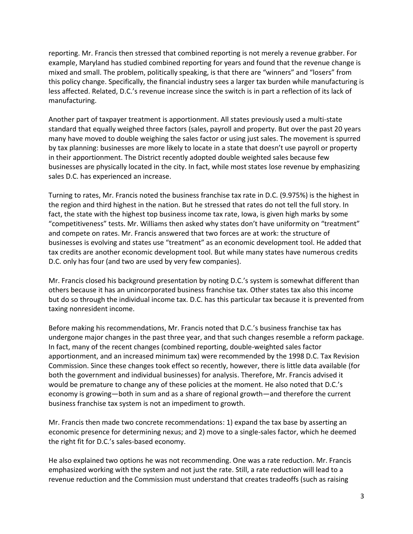reporting. Mr. Francis then stressed that combined reporting is not merely a revenue grabber. For example, Maryland has studied combined reporting for years and found that the revenue change is mixed and small. The problem, politically speaking, is that there are "winners" and "losers" from this policy change. Specifically, the financial industry sees a larger tax burden while manufacturing is less affected. Related, D.C.'s revenue increase since the switch is in part a reflection of its lack of manufacturing.

Another part of taxpayer treatment is apportionment. All states previously used a multi-state standard that equally weighed three factors (sales, payroll and property. But over the past 20 years many have moved to double weighing the sales factor or using just sales. The movement is spurred by tax planning: businesses are more likely to locate in a state that doesn't use payroll or property in their apportionment. The District recently adopted double weighted sales because few businesses are physically located in the city. In fact, while most states lose revenue by emphasizing sales D.C. has experienced an increase.

Turning to rates, Mr. Francis noted the business franchise tax rate in D.C. (9.975%) is the highest in the region and third highest in the nation. But he stressed that rates do not tell the full story. In fact, the state with the highest top business income tax rate, Iowa, is given high marks by some "competitiveness" tests. Mr. Williams then asked why states don't have uniformity on "treatment" and compete on rates. Mr. Francis answered that two forces are at work: the structure of businesses is evolving and states use "treatment" as an economic development tool. He added that tax credits are another economic development tool. But while many states have numerous credits D.C. only has four (and two are used by very few companies).

Mr. Francis closed his background presentation by noting D.C.'s system is somewhat different than others because it has an unincorporated business franchise tax. Other states tax also this income but do so through the individual income tax. D.C. has this particular tax because it is prevented from taxing nonresident income.

Before making his recommendations, Mr. Francis noted that D.C.'s business franchise tax has undergone major changes in the past three year, and that such changes resemble a reform package. In fact, many of the recent changes (combined reporting, double-weighted sales factor apportionment, and an increased minimum tax) were recommended by the 1998 D.C. Tax Revision Commission. Since these changes took effect so recently, however, there is little data available (for both the government and individual businesses) for analysis. Therefore, Mr. Francis advised it would be premature to change any of these policies at the moment. He also noted that D.C.'s economy is growing—both in sum and as a share of regional growth—and therefore the current business franchise tax system is not an impediment to growth.

Mr. Francis then made two concrete recommendations: 1) expand the tax base by asserting an economic presence for determining nexus; and 2) move to a single-sales factor, which he deemed the right fit for D.C.'s sales-based economy.

He also explained two options he was not recommending. One was a rate reduction. Mr. Francis emphasized working with the system and not just the rate. Still, a rate reduction will lead to a revenue reduction and the Commission must understand that creates tradeoffs (such as raising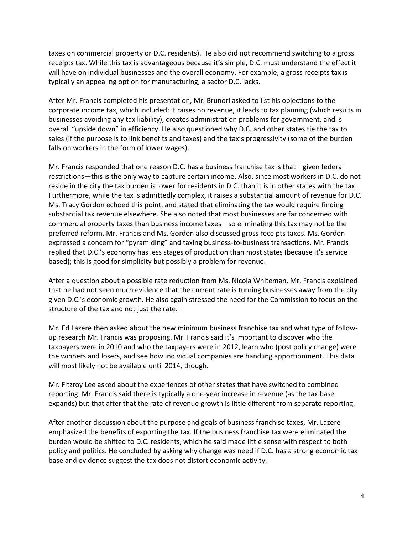taxes on commercial property or D.C. residents). He also did not recommend switching to a gross receipts tax. While this tax is advantageous because it's simple, D.C. must understand the effect it will have on individual businesses and the overall economy. For example, a gross receipts tax is typically an appealing option for manufacturing, a sector D.C. lacks.

After Mr. Francis completed his presentation, Mr. Brunori asked to list his objections to the corporate income tax, which included: it raises no revenue, it leads to tax planning (which results in businesses avoiding any tax liability), creates administration problems for government, and is overall "upside down" in efficiency. He also questioned why D.C. and other states tie the tax to sales (if the purpose is to link benefits and taxes) and the tax's progressivity (some of the burden falls on workers in the form of lower wages).

Mr. Francis responded that one reason D.C. has a business franchise tax is that—given federal restrictions—this is the only way to capture certain income. Also, since most workers in D.C. do not reside in the city the tax burden is lower for residents in D.C. than it is in other states with the tax. Furthermore, while the tax is admittedly complex, it raises a substantial amount of revenue for D.C. Ms. Tracy Gordon echoed this point, and stated that eliminating the tax would require finding substantial tax revenue elsewhere. She also noted that most businesses are far concerned with commercial property taxes than business income taxes—so eliminating this tax may not be the preferred reform. Mr. Francis and Ms. Gordon also discussed gross receipts taxes. Ms. Gordon expressed a concern for "pyramiding" and taxing business-to-business transactions. Mr. Francis replied that D.C.'s economy has less stages of production than most states (because it's service based); this is good for simplicity but possibly a problem for revenue.

After a question about a possible rate reduction from Ms. Nicola Whiteman, Mr. Francis explained that he had not seen much evidence that the current rate is turning businesses away from the city given D.C.'s economic growth. He also again stressed the need for the Commission to focus on the structure of the tax and not just the rate.

Mr. Ed Lazere then asked about the new minimum business franchise tax and what type of followup research Mr. Francis was proposing. Mr. Francis said it's important to discover who the taxpayers were in 2010 and who the taxpayers were in 2012, learn who (post policy change) were the winners and losers, and see how individual companies are handling apportionment. This data will most likely not be available until 2014, though.

Mr. Fitzroy Lee asked about the experiences of other states that have switched to combined reporting. Mr. Francis said there is typically a one-year increase in revenue (as the tax base expands) but that after that the rate of revenue growth is little different from separate reporting.

After another discussion about the purpose and goals of business franchise taxes, Mr. Lazere emphasized the benefits of exporting the tax. If the business franchise tax were eliminated the burden would be shifted to D.C. residents, which he said made little sense with respect to both policy and politics. He concluded by asking why change was need if D.C. has a strong economic tax base and evidence suggest the tax does not distort economic activity.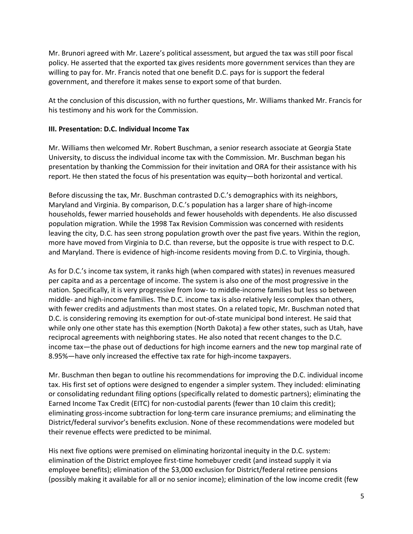Mr. Brunori agreed with Mr. Lazere's political assessment, but argued the tax was still poor fiscal policy. He asserted that the exported tax gives residents more government services than they are willing to pay for. Mr. Francis noted that one benefit D.C. pays for is support the federal government, and therefore it makes sense to export some of that burden.

At the conclusion of this discussion, with no further questions, Mr. Williams thanked Mr. Francis for his testimony and his work for the Commission.

### **III. Presentation: D.C. Individual Income Tax**

Mr. Williams then welcomed Mr. Robert Buschman, a senior research associate at Georgia State University, to discuss the individual income tax with the Commission. Mr. Buschman began his presentation by thanking the Commission for their invitation and ORA for their assistance with his report. He then stated the focus of his presentation was equity—both horizontal and vertical.

Before discussing the tax, Mr. Buschman contrasted D.C.'s demographics with its neighbors, Maryland and Virginia. By comparison, D.C.'s population has a larger share of high-income households, fewer married households and fewer households with dependents. He also discussed population migration. While the 1998 Tax Revision Commission was concerned with residents leaving the city, D.C. has seen strong population growth over the past five years. Within the region, more have moved from Virginia to D.C. than reverse, but the opposite is true with respect to D.C. and Maryland. There is evidence of high-income residents moving from D.C. to Virginia, though.

As for D.C.'s income tax system, it ranks high (when compared with states) in revenues measured per capita and as a percentage of income. The system is also one of the most progressive in the nation. Specifically, it is very progressive from low- to middle-income families but less so between middle- and high-income families. The D.C. income tax is also relatively less complex than others, with fewer credits and adjustments than most states. On a related topic, Mr. Buschman noted that D.C. is considering removing its exemption for out-of-state municipal bond interest. He said that while only one other state has this exemption (North Dakota) a few other states, such as Utah, have reciprocal agreements with neighboring states. He also noted that recent changes to the D.C. income tax—the phase out of deductions for high income earners and the new top marginal rate of 8.95%—have only increased the effective tax rate for high-income taxpayers.

Mr. Buschman then began to outline his recommendations for improving the D.C. individual income tax. His first set of options were designed to engender a simpler system. They included: eliminating or consolidating redundant filing options (specifically related to domestic partners); eliminating the Earned Income Tax Credit (EITC) for non-custodial parents (fewer than 10 claim this credit); eliminating gross-income subtraction for long-term care insurance premiums; and eliminating the District/federal survivor's benefits exclusion. None of these recommendations were modeled but their revenue effects were predicted to be minimal.

His next five options were premised on eliminating horizontal inequity in the D.C. system: elimination of the District employee first-time homebuyer credit (and instead supply it via employee benefits); elimination of the \$3,000 exclusion for District/federal retiree pensions (possibly making it available for all or no senior income); elimination of the low income credit (few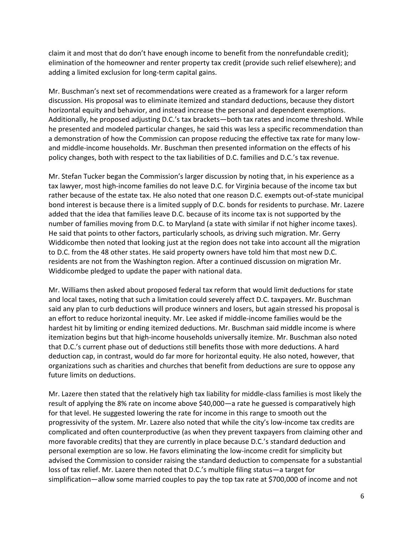claim it and most that do don't have enough income to benefit from the nonrefundable credit); elimination of the homeowner and renter property tax credit (provide such relief elsewhere); and adding a limited exclusion for long-term capital gains.

Mr. Buschman's next set of recommendations were created as a framework for a larger reform discussion. His proposal was to eliminate itemized and standard deductions, because they distort horizontal equity and behavior, and instead increase the personal and dependent exemptions. Additionally, he proposed adjusting D.C.'s tax brackets—both tax rates and income threshold. While he presented and modeled particular changes, he said this was less a specific recommendation than a demonstration of how the Commission can propose reducing the effective tax rate for many lowand middle-income households. Mr. Buschman then presented information on the effects of his policy changes, both with respect to the tax liabilities of D.C. families and D.C.'s tax revenue.

Mr. Stefan Tucker began the Commission's larger discussion by noting that, in his experience as a tax lawyer, most high-income families do not leave D.C. for Virginia because of the income tax but rather because of the estate tax. He also noted that one reason D.C. exempts out-of-state municipal bond interest is because there is a limited supply of D.C. bonds for residents to purchase. Mr. Lazere added that the idea that families leave D.C. because of its income tax is not supported by the number of families moving from D.C. to Maryland (a state with similar if not higher income taxes). He said that points to other factors, particularly schools, as driving such migration. Mr. Gerry Widdicombe then noted that looking just at the region does not take into account all the migration to D.C. from the 48 other states. He said property owners have told him that most new D.C. residents are not from the Washington region. After a continued discussion on migration Mr. Widdicombe pledged to update the paper with national data.

Mr. Williams then asked about proposed federal tax reform that would limit deductions for state and local taxes, noting that such a limitation could severely affect D.C. taxpayers. Mr. Buschman said any plan to curb deductions will produce winners and losers, but again stressed his proposal is an effort to reduce horizontal inequity. Mr. Lee asked if middle-income families would be the hardest hit by limiting or ending itemized deductions. Mr. Buschman said middle income is where itemization begins but that high-income households universally itemize. Mr. Buschman also noted that D.C.'s current phase out of deductions still benefits those with more deductions. A hard deduction cap, in contrast, would do far more for horizontal equity. He also noted, however, that organizations such as charities and churches that benefit from deductions are sure to oppose any future limits on deductions.

Mr. Lazere then stated that the relatively high tax liability for middle-class families is most likely the result of applying the 8% rate on income above \$40,000—a rate he guessed is comparatively high for that level. He suggested lowering the rate for income in this range to smooth out the progressivity of the system. Mr. Lazere also noted that while the city's low-income tax credits are complicated and often counterproductive (as when they prevent taxpayers from claiming other and more favorable credits) that they are currently in place because D.C.'s standard deduction and personal exemption are so low. He favors eliminating the low-income credit for simplicity but advised the Commission to consider raising the standard deduction to compensate for a substantial loss of tax relief. Mr. Lazere then noted that D.C.'s multiple filing status—a target for simplification—allow some married couples to pay the top tax rate at \$700,000 of income and not